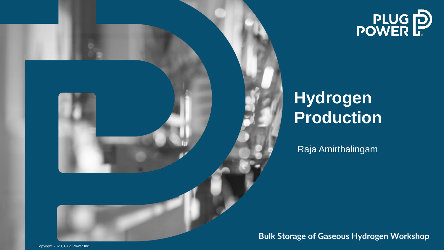



# **Hydrogen Production**

Raja Amirthalingam

**Bulk Storage of Gaseous Hydrogen Workshop** 

Copyright 2020, Plug Power Inc.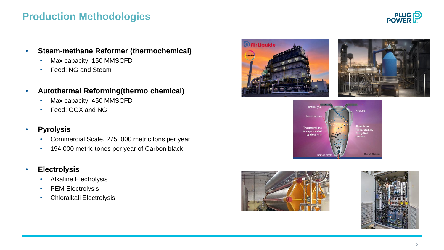## **Production Methodologies**



#### • **Steam-methane Reformer (thermochemical)**

- Max capacity: 150 MMSCFD
- Feed: NG and Steam
- **Autothermal Reforming(thermo chemical)** 
	- Max capacity: 450 MMSCFD
	- Feed: GOX and NG

### • **Pyrolysis**

- Commercial Scale, 275, 000 metric tons per year
- 194,000 metric tones per year of Carbon black.
- **Electrolysis** 
	- Alkaline Electrolysis
	- PEM Electrolysis
	- Chloralkali Electrolysis









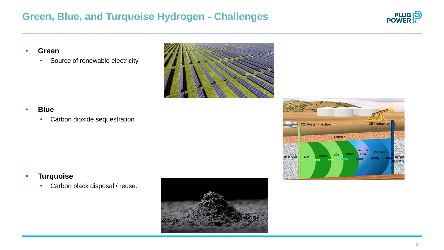## **Green, Blue, and Turquoise Hydrogen - Challenges**



- **Green** 
	- Source of renewable electricity



• **Blue** 

• Carbon dioxide sequestration



### • **Turquoise**

• Carbon black disposal / reuse.

![](_page_2_Picture_10.jpeg)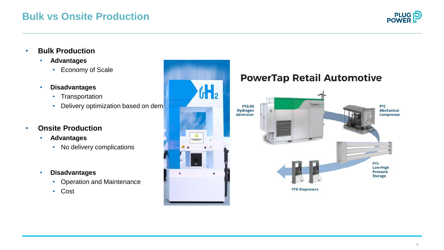## **Bulk vs Onsite Production**

![](_page_3_Picture_1.jpeg)

- **Bulk Production** 
	- **Advantages** 
		- Economy of Scale
	- **Disadvantages** 
		- Transportation
		- Delivery optimization based on dem
- **Onsite Production** 
	- **Advantages** 
		- No delivery complications
	- **Disadvantages** 
		- Operation and Maintenance
		- Cost

![](_page_3_Figure_14.jpeg)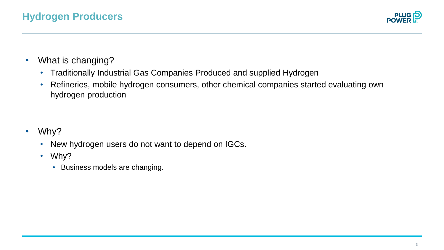![](_page_4_Picture_1.jpeg)

- What is changing?
	- Traditionally Industrial Gas Companies Produced and supplied Hydrogen
	- Refineries, mobile hydrogen consumers, other chemical companies started evaluating own hydrogen production

- Why?
	- New hydrogen users do not want to depend on IGCs.
	- Why?
		- Business models are changing.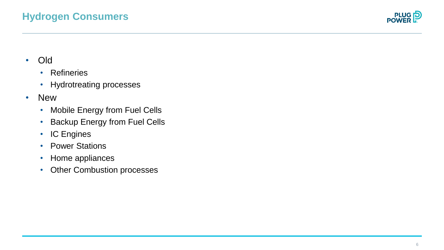![](_page_5_Picture_1.jpeg)

- -
	-
- -
- Backup Energy from Fuel Cells • Old<br>• Refineries<br>• Hydrotreating processes<br>• New<br>• Mobile Energy from Fuel Cells<br>• Backup Energy from Fuel Cells<br>• IC Engines<br>• Power Stations<br>• Home appliances<br>• Other Combustion processes
	-
	-
	-
	-